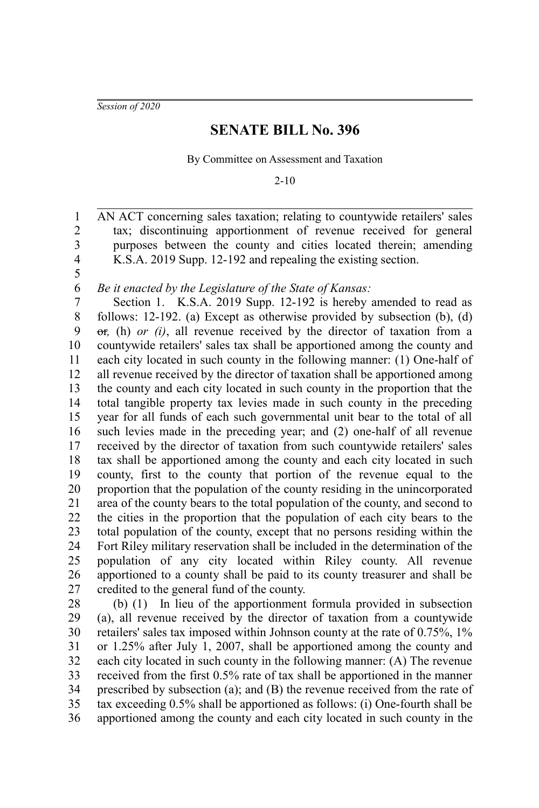*Session of 2020*

## **SENATE BILL No. 396**

By Committee on Assessment and Taxation

2-10

AN ACT concerning sales taxation; relating to countywide retailers' sales tax; discontinuing apportionment of revenue received for general purposes between the county and cities located therein; amending K.S.A. 2019 Supp. 12-192 and repealing the existing section.

4 5 6

1 2 3

*Be it enacted by the Legislature of the State of Kansas:*

Section 1. K.S.A. 2019 Supp. 12-192 is hereby amended to read as follows: 12-192. (a) Except as otherwise provided by subsection (b), (d) or*,* (h) *or (i)*, all revenue received by the director of taxation from a countywide retailers' sales tax shall be apportioned among the county and each city located in such county in the following manner: (1) One-half of all revenue received by the director of taxation shall be apportioned among the county and each city located in such county in the proportion that the total tangible property tax levies made in such county in the preceding year for all funds of each such governmental unit bear to the total of all such levies made in the preceding year; and (2) one-half of all revenue received by the director of taxation from such countywide retailers' sales tax shall be apportioned among the county and each city located in such county, first to the county that portion of the revenue equal to the proportion that the population of the county residing in the unincorporated area of the county bears to the total population of the county, and second to the cities in the proportion that the population of each city bears to the total population of the county, except that no persons residing within the Fort Riley military reservation shall be included in the determination of the population of any city located within Riley county. All revenue apportioned to a county shall be paid to its county treasurer and shall be credited to the general fund of the county. 7 8 9 10 11 12 13 14 15 16 17 18 19 20 21 22 23 24 25 26 27

(b) (1) In lieu of the apportionment formula provided in subsection (a), all revenue received by the director of taxation from a countywide retailers' sales tax imposed within Johnson county at the rate of 0.75%, 1% or 1.25% after July 1, 2007, shall be apportioned among the county and each city located in such county in the following manner: (A) The revenue received from the first 0.5% rate of tax shall be apportioned in the manner prescribed by subsection (a); and (B) the revenue received from the rate of tax exceeding 0.5% shall be apportioned as follows: (i) One-fourth shall be apportioned among the county and each city located in such county in the 28 29 30 31 32 33 34 35 36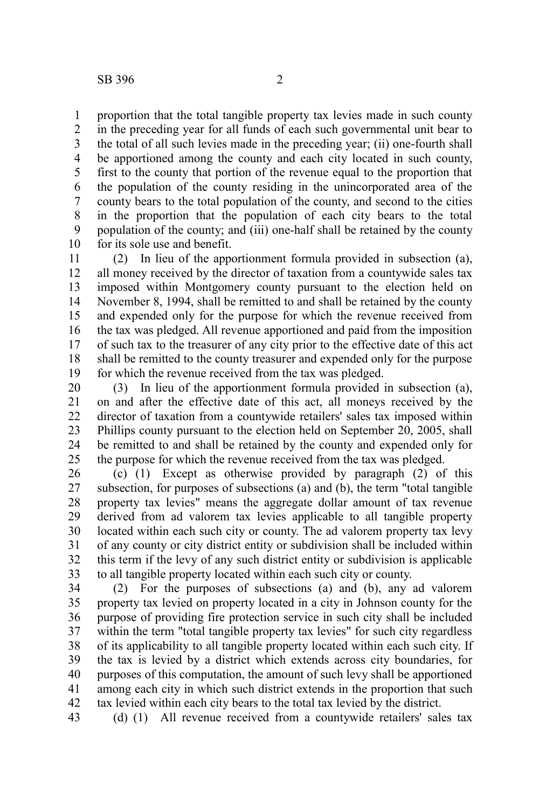proportion that the total tangible property tax levies made in such county in the preceding year for all funds of each such governmental unit bear to the total of all such levies made in the preceding year; (ii) one-fourth shall be apportioned among the county and each city located in such county, first to the county that portion of the revenue equal to the proportion that the population of the county residing in the unincorporated area of the county bears to the total population of the county, and second to the cities in the proportion that the population of each city bears to the total population of the county; and (iii) one-half shall be retained by the county for its sole use and benefit. 1 2 3 4 5 6 7 8 9 10

(2) In lieu of the apportionment formula provided in subsection (a), all money received by the director of taxation from a countywide sales tax imposed within Montgomery county pursuant to the election held on November 8, 1994, shall be remitted to and shall be retained by the county and expended only for the purpose for which the revenue received from the tax was pledged. All revenue apportioned and paid from the imposition of such tax to the treasurer of any city prior to the effective date of this act shall be remitted to the county treasurer and expended only for the purpose for which the revenue received from the tax was pledged. 11 12 13 14 15 16 17 18 19

(3) In lieu of the apportionment formula provided in subsection (a), on and after the effective date of this act, all moneys received by the director of taxation from a countywide retailers' sales tax imposed within Phillips county pursuant to the election held on September 20, 2005, shall be remitted to and shall be retained by the county and expended only for the purpose for which the revenue received from the tax was pledged. 20 21 22 23 24 25

(c) (1) Except as otherwise provided by paragraph (2) of this subsection, for purposes of subsections (a) and (b), the term "total tangible property tax levies" means the aggregate dollar amount of tax revenue derived from ad valorem tax levies applicable to all tangible property located within each such city or county. The ad valorem property tax levy of any county or city district entity or subdivision shall be included within this term if the levy of any such district entity or subdivision is applicable to all tangible property located within each such city or county. 26 27 28 29 30 31 32 33

(2) For the purposes of subsections (a) and (b), any ad valorem property tax levied on property located in a city in Johnson county for the purpose of providing fire protection service in such city shall be included within the term "total tangible property tax levies" for such city regardless of its applicability to all tangible property located within each such city. If the tax is levied by a district which extends across city boundaries, for purposes of this computation, the amount of such levy shall be apportioned among each city in which such district extends in the proportion that such tax levied within each city bears to the total tax levied by the district. 34 35 36 37 38 39 40 41 42

(d) (1) All revenue received from a countywide retailers' sales tax 43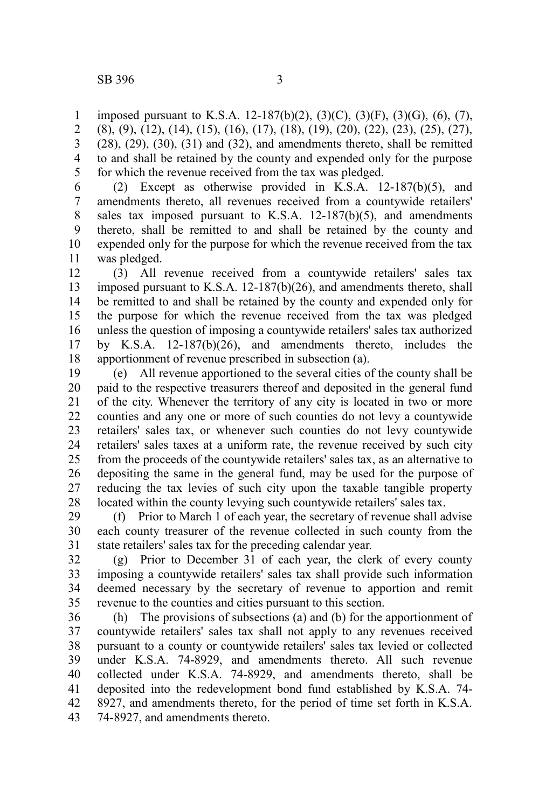imposed pursuant to K.S.A. 12-187(b)(2), (3)(C), (3)(F), (3)(G), (6), (7), (8), (9), (12), (14), (15), (16), (17), (18), (19), (20), (22), (23), (25), (27),  $(28)$ ,  $(29)$ ,  $(30)$ ,  $(31)$  and  $(32)$ , and amendments thereto, shall be remitted to and shall be retained by the county and expended only for the purpose for which the revenue received from the tax was pledged. 1 2 3 4 5

(2) Except as otherwise provided in K.S.A. 12-187(b)(5), and amendments thereto, all revenues received from a countywide retailers' sales tax imposed pursuant to K.S.A. 12-187(b)(5), and amendments thereto, shall be remitted to and shall be retained by the county and expended only for the purpose for which the revenue received from the tax was pledged. 6 7 8 9 10 11

(3) All revenue received from a countywide retailers' sales tax imposed pursuant to K.S.A. 12-187(b)(26), and amendments thereto, shall be remitted to and shall be retained by the county and expended only for the purpose for which the revenue received from the tax was pledged unless the question of imposing a countywide retailers' sales tax authorized by K.S.A. 12-187(b)(26), and amendments thereto, includes the apportionment of revenue prescribed in subsection (a). 12 13 14 15 16 17 18

(e) All revenue apportioned to the several cities of the county shall be paid to the respective treasurers thereof and deposited in the general fund of the city. Whenever the territory of any city is located in two or more counties and any one or more of such counties do not levy a countywide retailers' sales tax, or whenever such counties do not levy countywide retailers' sales taxes at a uniform rate, the revenue received by such city from the proceeds of the countywide retailers' sales tax, as an alternative to depositing the same in the general fund, may be used for the purpose of reducing the tax levies of such city upon the taxable tangible property located within the county levying such countywide retailers' sales tax. 19 20 21 22 23 24 25 26 27 28

(f) Prior to March 1 of each year, the secretary of revenue shall advise each county treasurer of the revenue collected in such county from the state retailers' sales tax for the preceding calendar year. 29 30 31

(g) Prior to December 31 of each year, the clerk of every county imposing a countywide retailers' sales tax shall provide such information deemed necessary by the secretary of revenue to apportion and remit revenue to the counties and cities pursuant to this section. 32 33 34 35

(h) The provisions of subsections (a) and (b) for the apportionment of countywide retailers' sales tax shall not apply to any revenues received pursuant to a county or countywide retailers' sales tax levied or collected under K.S.A. 74-8929, and amendments thereto. All such revenue collected under K.S.A. 74-8929, and amendments thereto, shall be deposited into the redevelopment bond fund established by K.S.A. 74- 8927, and amendments thereto, for the period of time set forth in K.S.A. 74-8927, and amendments thereto. 36 37 38 39 40 41 42 43